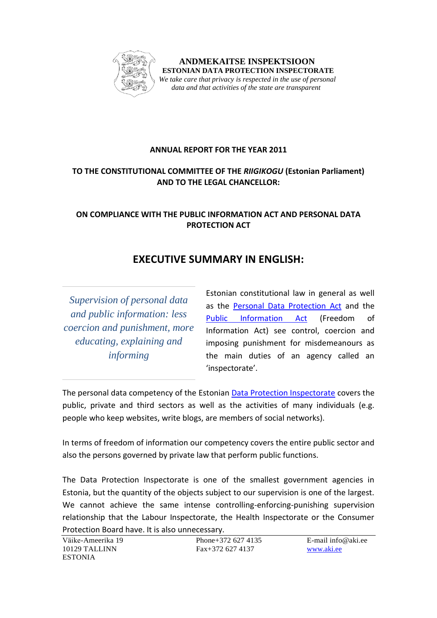

 **ANDMEKAITSE INSPEKTSIOON ESTONIAN DATA PROTECTION INSPECTORATE** *We take care that privacy is respected in the use of personal data and that activities of the state are transparent*

### **ANNUAL REPORT FOR THE YEAR 2011**

### **TO THE CONSTITUTIONAL COMMITTEE OF THE** *RIIGIKOGU* **(Estonian Parliament) AND TO THE LEGAL CHANCELLOR:**

## **ON COMPLIANCE WITH THE PUBLIC INFORMATION ACT AND PERSONAL DATA PROTECTION ACT**

# **EXECUTIVE SUMMARY IN ENGLISH:**

*Supervision of personal data and public information: less coercion and punishment, more educating, explaining and informing*

Estonian constitutional law in general as well as the [Personal Data Protection Act](http://www.legaltext.ee/et/andmebaas/tekst.asp?loc=text&dok=XXXX041K1&keel=en&pg=1&ptyyp=RT&tyyp=X&query=isikuandmete+kaitse+seadus) and the [Public Information Act](http://www.legaltext.ee/et/andmebaas/tekst.asp?loc=text&dok=X40095K5&keel=en&pg=1&ptyyp=RT&tyyp=X&query=avaliku+teabe) (Freedom of Information Act) see control, coercion and imposing punishment for misdemeanours as the main duties of an agency called an 'inspectorate'.

The personal data competency of the Estonian [Data Protection Inspectorate](http://www.aki.ee/eng/) covers the public, private and third sectors as well as the activities of many individuals (e.g. people who keep websites, write blogs, are members of social networks).

In terms of freedom of information our competency covers the entire public sector and also the persons governed by private law that perform public functions.

The Data Protection Inspectorate is one of the smallest government agencies in Estonia, but the quantity of the objects subject to our supervision is one of the largest. We cannot achieve the same intense controlling-enforcing-punishing supervision relationship that the Labour Inspectorate, the Health Inspectorate or the Consumer Protection Board have. It is also unnecessary.

Väike-Ameerika 19 **Phone+372 627 4135** E-mail info@aki.ee ESTONIA

10129 TALLINN Fax+372 627 4137 [www.aki.ee](http://www.aki.ee/)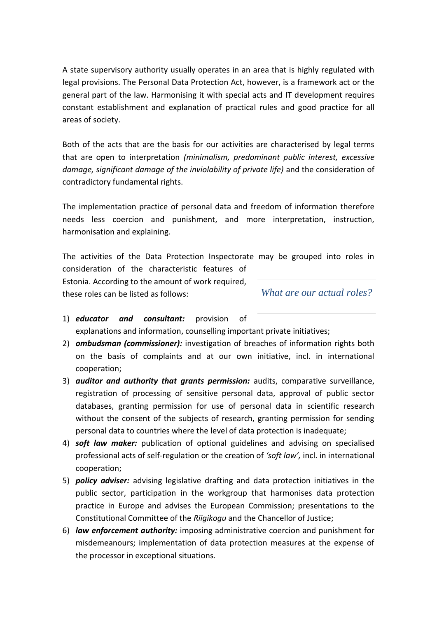A state supervisory authority usually operates in an area that is highly regulated with legal provisions. The Personal Data Protection Act, however, is a framework act or the general part of the law. Harmonising it with special acts and IT development requires constant establishment and explanation of practical rules and good practice for all areas of society.

Both of the acts that are the basis for our activities are characterised by legal terms that are open to interpretation *(minimalism, predominant public interest, excessive damage, significant damage of the inviolability of private life)* and the consideration of contradictory fundamental rights.

The implementation practice of personal data and freedom of information therefore needs less coercion and punishment, and more interpretation, instruction, harmonisation and explaining.

The activities of the Data Protection Inspectorate may be grouped into roles in consideration of the characteristic features of

Estonia. According to the amount of work required, these roles can be listed as follows:

*What are our actual roles?*

- 1) *educator and consultant:* provision of explanations and information, counselling important private initiatives;
- 2) *ombudsman (commissioner):* investigation of breaches of information rights both on the basis of complaints and at our own initiative, incl. in international cooperation;
- 3) *auditor and authority that grants permission:* audits, comparative surveillance, registration of processing of sensitive personal data, approval of public sector databases, granting permission for use of personal data in scientific research without the consent of the subjects of research, granting permission for sending personal data to countries where the level of data protection is inadequate;
- 4) *soft law maker:* publication of optional guidelines and advising on specialised professional acts of self-regulation or the creation of *'soft law',* incl. in international cooperation;
- 5) *policy adviser:* advising legislative drafting and data protection initiatives in the public sector, participation in the workgroup that harmonises data protection practice in Europe and advises the European Commission; presentations to the Constitutional Committee of the *Riigikogu* and the Chancellor of Justice;
- 6) *law enforcement authority:* imposing administrative coercion and punishment for misdemeanours; implementation of data protection measures at the expense of the processor in exceptional situations.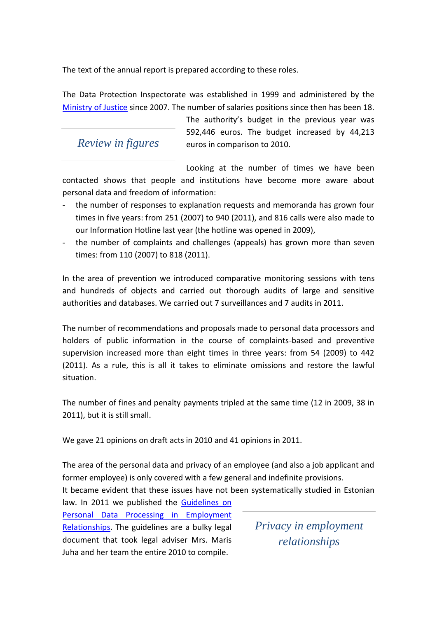The text of the annual report is prepared according to these roles.

The Data Protection Inspectorate was established in 1999 and administered by the [Ministry of Justice](http://www.just.ee/?set_lang_id=2) since 2007. The number of salaries positions since then has been 18.

## *Review in figures*

The authority's budget in the previous year was 592,446 euros. The budget increased by 44,213 euros in comparison to 2010.

Looking at the number of times we have been contacted shows that people and institutions have become more aware about personal data and freedom of information:

- the number of responses to explanation requests and memoranda has grown four times in five years: from 251 (2007) to 940 (2011), and 816 calls were also made to our Information Hotline last year (the hotline was opened in 2009),
- the number of complaints and challenges (appeals) has grown more than seven times: from 110 (2007) to 818 (2011).

In the area of prevention we introduced comparative monitoring sessions with tens and hundreds of objects and carried out thorough audits of large and sensitive authorities and databases. We carried out 7 surveillances and 7 audits in 2011.

The number of recommendations and proposals made to personal data processors and holders of public information in the course of complaints-based and preventive supervision increased more than eight times in three years: from 54 (2009) to 442 (2011). As a rule, this is all it takes to eliminate omissions and restore the lawful situation.

The number of fines and penalty payments tripled at the same time (12 in 2009, 38 in 2011), but it is still small.

We gave 21 opinions on draft acts in 2010 and 41 opinions in 2011.

The area of the personal data and privacy of an employee (and also a job applicant and former employee) is only covered with a few general and indefinite provisions.

It became evident that these issues have not been systematically studied in Estonian

law. In 2011 we published the [Guidelines on](http://www.aki.ee/download/1818/Isikuandmed%20töösuhetes%20juhendmaterjal%20LÕPLIK.pdf)  [Personal Data Processing in Employment](http://www.aki.ee/download/1818/Isikuandmed%20töösuhetes%20juhendmaterjal%20LÕPLIK.pdf)  [Relationships.](http://www.aki.ee/download/1818/Isikuandmed%20töösuhetes%20juhendmaterjal%20LÕPLIK.pdf) The guidelines are a bulky legal document that took legal adviser Mrs. Maris Juha and her team the entire 2010 to compile.

*Privacy in employment relationships*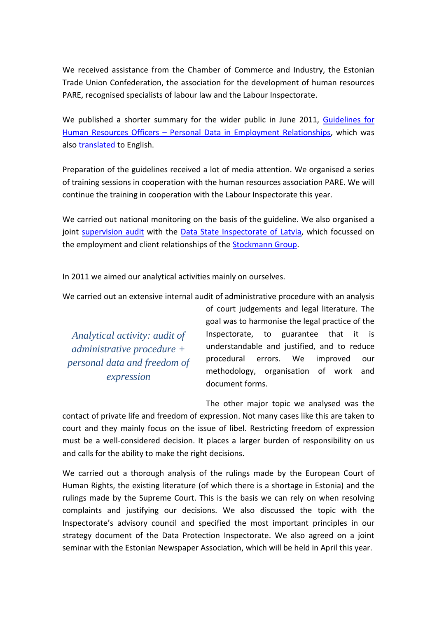We received assistance from the Chamber of Commerce and Industry, the Estonian Trade Union Confederation, the association for the development of human resources PARE, recognised specialists of labour law and the Labour Inspectorate.

We published a shorter summary for the wider public in June 2011, Guidelines for Human Resources Officers – [Personal Data in Employment Relationships,](http://www.aki.ee/download/1914/Tööõiguslike%20suhete%20lühijuhis.pdf) which was also [translated](http://www.aki.ee/download/1932/tööõigusliku%20juhise%20inglise%20keelne%20tõlge.pdf) to English.

Preparation of the guidelines received a lot of media attention. We organised a series of training sessions in cooperation with the human resources association PARE. We will continue the training in cooperation with the Labour Inspectorate this year.

We carried out national monitoring on the basis of the guideline. We also organised a joint [supervision audit](http://www.aki.ee/download/1990/Press%20Release%20-%20Stockmann%20supervision.pdf) with the Data State [Inspectorate of Latvia,](http://www.dvi.gov.lv/eng/) which focussed on the employment and client relationships of the [Stockmann Group.](http://www.stockmanngroup.fi/en/en/)

In 2011 we aimed our analytical activities mainly on ourselves.

We carried out an extensive internal audit of administrative procedure with an analysis

*Analytical activity: audit of administrative procedure + personal data and freedom of expression*

of court judgements and legal literature. The goal was to harmonise the legal practice of the Inspectorate, to guarantee that it is understandable and justified, and to reduce procedural errors. We improved our methodology, organisation of work and document forms.

The other major topic we analysed was the contact of private life and freedom of expression. Not many cases like this are taken to court and they mainly focus on the issue of libel. Restricting freedom of expression must be a well-considered decision. It places a larger burden of responsibility on us and calls for the ability to make the right decisions.

We carried out a thorough analysis of the rulings made by the European Court of Human Rights, the existing literature (of which there is a shortage in Estonia) and the rulings made by the Supreme Court. This is the basis we can rely on when resolving complaints and justifying our decisions. We also discussed the topic with the Inspectorate's advisory council and specified the most important principles in our strategy document of the Data Protection Inspectorate. We also agreed on a joint seminar with the Estonian Newspaper Association, which will be held in April this year.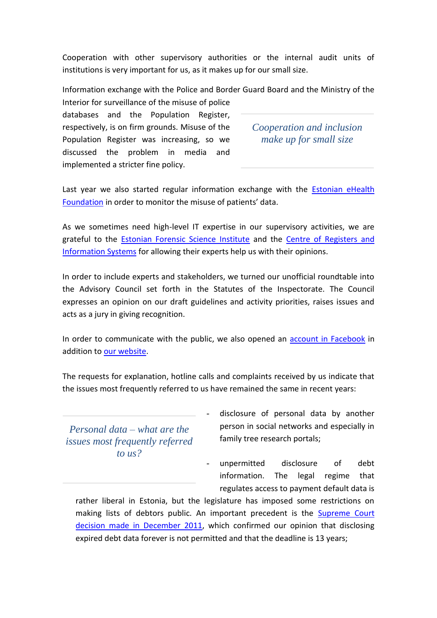Cooperation with other supervisory authorities or the internal audit units of institutions is very important for us, as it makes up for our small size.

Information exchange with the Police and Border Guard Board and the Ministry of the

Interior for surveillance of the misuse of police databases and the Population Register, respectively, is on firm grounds. Misuse of the Population Register was increasing, so we discussed the problem in media and implemented a stricter fine policy.

*Cooperation and inclusion make up for small size*

Last year we also started regular information exchange with the Estonian eHealth [Foundation](http://eng.e-tervis.ee/index.html) in order to monitor the misuse of patients' data.

As we sometimes need high-level IT expertise in our supervisory activities, we are grateful to the [Estonian Forensic Science Institute](http://www.ekei.ee/?set_lang_id=2) and the [Centre of Registers and](http://www.rik.ee/)  [Information Systems](http://www.rik.ee/) for allowing their experts help us with their opinions.

In order to include experts and stakeholders, we turned our unofficial roundtable into the Advisory Council set forth in the Statutes of the Inspectorate. The Council expresses an opinion on our draft guidelines and activity priorities, raises issues and acts as a jury in giving recognition.

In order to communicate with the public, we also opened an [account in Facebook](http://et-ee.facebook.com/pages/Andmekaitse-Inspektsioon/135347539863880) in addition to [our website.](http://www.aki.ee/eng/)

The requests for explanation, hotline calls and complaints received by us indicate that the issues most frequently referred to us have remained the same in recent years:

*Personal data – what are the issues most frequently referred to us?*

disclosure of personal data by another person in social networks and especially in family tree research portals;

unpermitted disclosure of debt information. The legal regime that regulates access to payment default data is

rather liberal in Estonia, but the legislature has imposed some restrictions on making lists of debtors public. An important precedent is the [Supreme Court](http://www.nc.ee/?id=11&tekst=222540223&print=1)  decision [made in December 2011,](http://www.nc.ee/?id=11&tekst=222540223&print=1) which confirmed our opinion that disclosing expired debt data forever is not permitted and that the deadline is 13 years;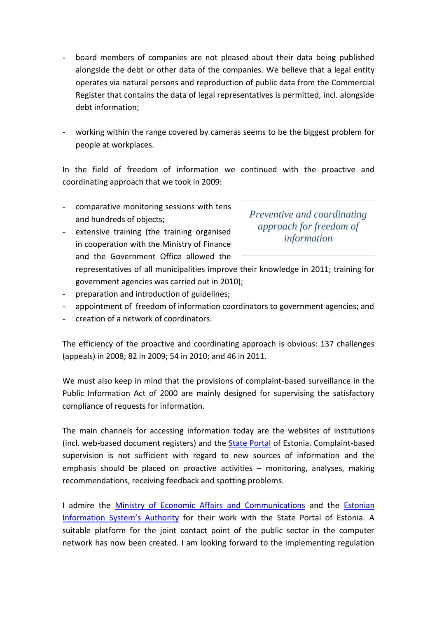- board members of companies are not pleased about their data being published alongside the debt or other data of the companies. We believe that a legal entity operates via natural persons and reproduction of public data from the Commercial Register that contains the data of legal representatives is permitted, incl. alongside debt information;
- working within the range covered by cameras seems to be the biggest problem for people at workplaces.

In the field of freedom of information we continued with the proactive and coordinating approach that we took in 2009:

- comparative monitoring sessions with tens and hundreds of objects;
- extensive training (the training organised in cooperation with the Ministry of Finance and the Government Office allowed the

*Preventive and coordinating approach for freedom of information*

- representatives of all municipalities improve their knowledge in 2011; training for government agencies was carried out in 2010);
- preparation and introduction of guidelines;
- appointment of freedom of information coordinators to government agencies; and
- creation of a network of coordinators.

The efficiency of the proactive and coordinating approach is obvious: 137 challenges (appeals) in 2008; 82 in 2009; 54 in 2010; and 46 in 2011.

We must also keep in mind that the provisions of complaint-based surveillance in the Public Information Act of 2000 are mainly designed for supervising the satisfactory compliance of requests for information.

The main channels for accessing information today are the websites of institutions (incl. web-based document registers) and the **State Portal** of Estonia. Complaint-based supervision is not sufficient with regard to new sources of information and the emphasis should be placed on proactive activities – monitoring, analyses, making recommendations, receiving feedback and spotting problems.

I admire the **[Ministry of Economic Affairs and Communications](http://www.mkm.ee/en)** and the **Estonian** [Information System](http://www.ria.ee/en/)'s Authority for their work with the State Portal of Estonia. A suitable platform for the joint contact point of the public sector in the computer network has now been created. I am looking forward to the implementing regulation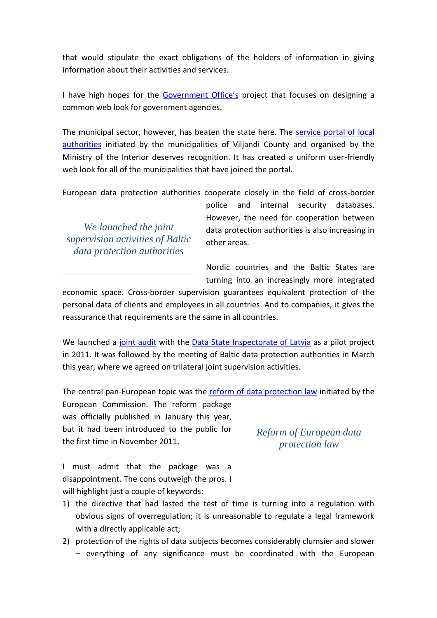that would stipulate the exact obligations of the holders of information in giving information about their activities and services.

I have high hopes for the [Government Office's](http://valitsus.ee/en/government) project that focuses on designing a common web look for government agencies.

The municipal sector, however, has beaten the state here. The [service portal of local](https://www.kovtp.ee/et/uldinfo)  [authorities](https://www.kovtp.ee/et/uldinfo) initiated by the municipalities of Viljandi County and organised by the Ministry of the Interior deserves recognition. It has created a uniform user-friendly web look for all of the municipalities that have joined the portal.

European data protection authorities cooperate closely in the field of cross-border

*We launched the joint supervision activities of Baltic data protection authorities*

police and internal security databases. However, the need for cooperation between data protection authorities is also increasing in other areas.

Nordic countries and the Baltic States are turning into an increasingly more integrated

economic space. Cross-border supervision guarantees equivalent protection of the personal data of clients and employees in all countries. And to companies, it gives the reassurance that requirements are the same in all countries.

We launched a [joint audit](http://www.aki.ee/download/1990/Press%20Release%20-%20Stockmann%20supervision.pdf) with the [Data State Inspectorate of Latvia](http://www.dvi.gov.lv/eng/) as a pilot project in 2011. It was followed by the meeting of Baltic data protection authorities in March this year, where we agreed on trilateral joint supervision activities.

The central pan-European topic was the [reform of data protection law](http://ec.europa.eu/justice/newsroom/data-protection/news/120125_en.htm) initiated by the

European Commission. The reform package was officially published in January this year, but it had been introduced to the public for the first time in November 2011.

I must admit that the package was a disappointment. The cons outweigh the pros. I will highlight just a couple of keywords:

- 1) the directive that had lasted the test of time is turning into a regulation with obvious signs of overregulation; it is unreasonable to regulate a legal framework with a directly applicable act;
- 2) protection of the rights of data subjects becomes considerably clumsier and slower – everything of any significance must be coordinated with the European

*Reform of European data protection law*